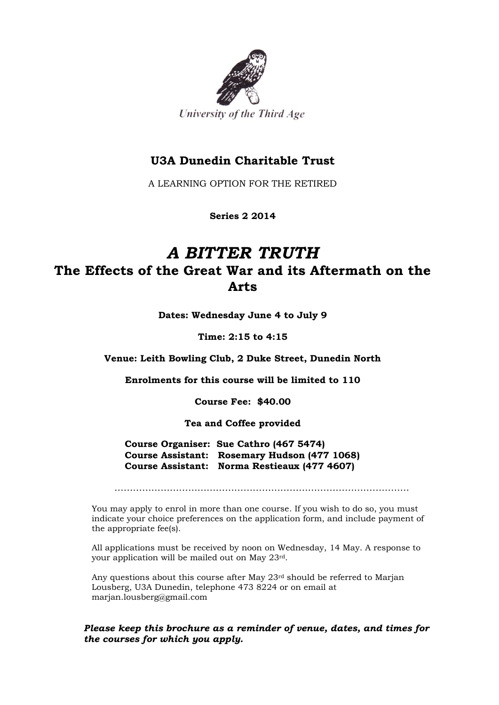

## **U3A Dunedin Charitable Trust**

A LEARNING OPTION FOR THE RETIRED

**Series 2 2014**

## *A BITTER TRUTH*  **The Effects of the Great War and its Aftermath on the Arts**

**Dates: Wednesday June 4 to July 9**

**Time: 2:15 to 4:15**

**Venue: Leith Bowling Club, 2 Duke Street, Dunedin North**

**Enrolments for this course will be limited to 110**

**Course Fee: \$40.00**

**Tea and Coffee provided**

**Course Organiser: Sue Cathro (467 5474) Course Assistant: Rosemary Hudson (477 1068) Course Assistant: Norma Restieaux (477 4607)**

……………………………………………………………………………………

You may apply to enrol in more than one course. If you wish to do so, you must indicate your choice preferences on the application form, and include payment of the appropriate fee(s).

All applications must be received by noon on Wednesday, 14 May. A response to your application will be mailed out on May 23rd.

Any questions about this course after May 23rd should be referred to Marjan Lousberg, U3A Dunedin, telephone 473 8224 or on email at marjan.lousberg@gmail.com

#### *Please keep this brochure as a reminder of venue, dates, and times for the courses for which you apply.*